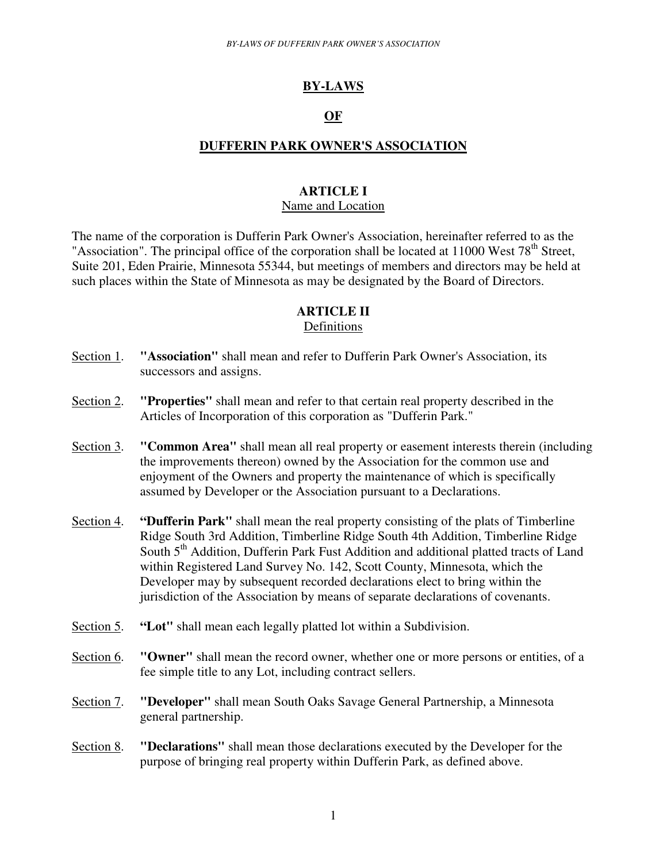## **BY-LAWS**

## **OF**

## **DUFFERIN PARK OWNER'S ASSOCIATION**

## **ARTICLE I**

#### Name and Location

The name of the corporation is Dufferin Park Owner's Association, hereinafter referred to as the "Association". The principal office of the corporation shall be located at  $11000$  West  $78<sup>th</sup>$  Street, Suite 201, Eden Prairie, Minnesota 55344, but meetings of members and directors may be held at such places within the State of Minnesota as may be designated by the Board of Directors.

# **ARTICLE II**

#### Definitions

- Section 1. **"Association"** shall mean and refer to Dufferin Park Owner's Association, its successors and assigns.
- Section 2. **"Properties"** shall mean and refer to that certain real property described in the Articles of Incorporation of this corporation as "Dufferin Park."
- Section 3. **"Common Area"** shall mean all real property or easement interests therein (including the improvements thereon) owned by the Association for the common use and enjoyment of the Owners and property the maintenance of which is specifically assumed by Developer or the Association pursuant to a Declarations.
- Section 4. **"Dufferin Park"** shall mean the real property consisting of the plats of Timberline Ridge South 3rd Addition, Timberline Ridge South 4th Addition, Timberline Ridge South 5<sup>th</sup> Addition, Dufferin Park Fust Addition and additional platted tracts of Land within Registered Land Survey No. 142, Scott County, Minnesota, which the Developer may by subsequent recorded declarations elect to bring within the jurisdiction of the Association by means of separate declarations of covenants.
- Section 5. **"Lot"** shall mean each legally platted lot within a Subdivision.
- Section 6. **"Owner"** shall mean the record owner, whether one or more persons or entities, of a fee simple title to any Lot, including contract sellers.
- Section 7. **"Developer"** shall mean South Oaks Savage General Partnership, a Minnesota general partnership.
- Section 8. **"Declarations"** shall mean those declarations executed by the Developer for the purpose of bringing real property within Dufferin Park, as defined above.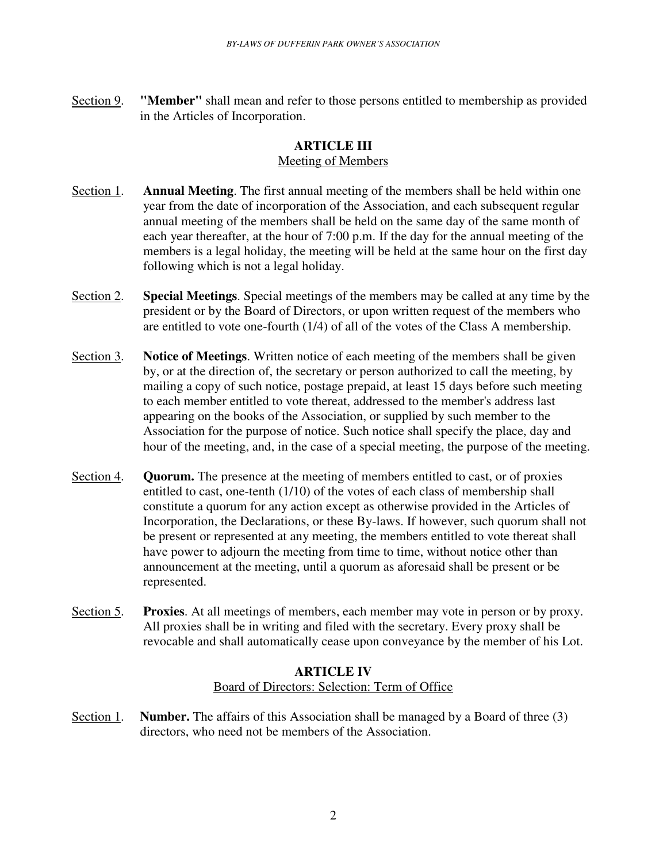Section 9. **"Member"** shall mean and refer to those persons entitled to membership as provided in the Articles of Incorporation.

## **ARTICLE III**

#### Meeting of Members

- Section 1. **Annual Meeting**. The first annual meeting of the members shall be held within one year from the date of incorporation of the Association, and each subsequent regular annual meeting of the members shall be held on the same day of the same month of each year thereafter, at the hour of 7:00 p.m. If the day for the annual meeting of the members is a legal holiday, the meeting will be held at the same hour on the first day following which is not a legal holiday.
- Section 2. **Special Meetings**. Special meetings of the members may be called at any time by the president or by the Board of Directors, or upon written request of the members who are entitled to vote one-fourth (1/4) of all of the votes of the Class A membership.
- Section 3. **Notice of Meetings**. Written notice of each meeting of the members shall be given by, or at the direction of, the secretary or person authorized to call the meeting, by mailing a copy of such notice, postage prepaid, at least 15 days before such meeting to each member entitled to vote thereat, addressed to the member's address last appearing on the books of the Association, or supplied by such member to the Association for the purpose of notice. Such notice shall specify the place, day and hour of the meeting, and, in the case of a special meeting, the purpose of the meeting.
- Section 4. **Quorum.** The presence at the meeting of members entitled to cast, or of proxies entitled to cast, one-tenth (1/10) of the votes of each class of membership shall constitute a quorum for any action except as otherwise provided in the Articles of Incorporation, the Declarations, or these By-laws. If however, such quorum shall not be present or represented at any meeting, the members entitled to vote thereat shall have power to adjourn the meeting from time to time, without notice other than announcement at the meeting, until a quorum as aforesaid shall be present or be represented.
- Section 5. **Proxies**. At all meetings of members, each member may vote in person or by proxy. All proxies shall be in writing and filed with the secretary. Every proxy shall be revocable and shall automatically cease upon conveyance by the member of his Lot.

### **ARTICLE IV**  Board of Directors: Selection: Term of Office

Section 1. **Number.** The affairs of this Association shall be managed by a Board of three (3) directors, who need not be members of the Association.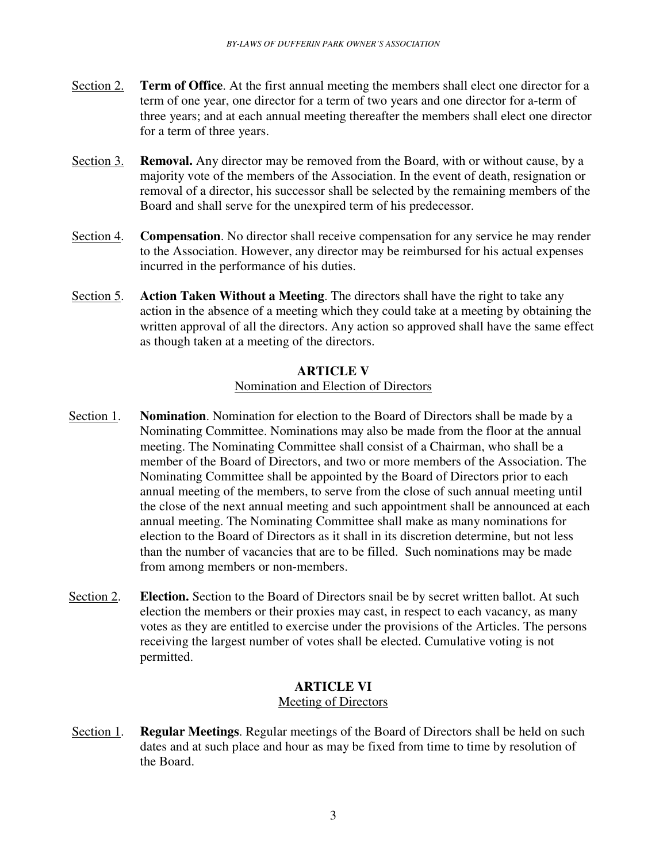- Section 2. **Term of Office**. At the first annual meeting the members shall elect one director for a term of one year, one director for a term of two years and one director for a-term of three years; and at each annual meeting thereafter the members shall elect one director for a term of three years.
- Section 3. **Removal.** Any director may be removed from the Board, with or without cause, by a majority vote of the members of the Association. In the event of death, resignation or removal of a director, his successor shall be selected by the remaining members of the Board and shall serve for the unexpired term of his predecessor.
- Section 4. **Compensation**. No director shall receive compensation for any service he may render to the Association. However, any director may be reimbursed for his actual expenses incurred in the performance of his duties.
- Section 5. **Action Taken Without a Meeting**. The directors shall have the right to take any action in the absence of a meeting which they could take at a meeting by obtaining the written approval of all the directors. Any action so approved shall have the same effect as though taken at a meeting of the directors.

## **ARTICLE V**  Nomination and Election of Directors

- Section 1. **Nomination**. Nomination for election to the Board of Directors shall be made by a Nominating Committee. Nominations may also be made from the floor at the annual meeting. The Nominating Committee shall consist of a Chairman, who shall be a member of the Board of Directors, and two or more members of the Association. The Nominating Committee shall be appointed by the Board of Directors prior to each annual meeting of the members, to serve from the close of such annual meeting until the close of the next annual meeting and such appointment shall be announced at each annual meeting. The Nominating Committee shall make as many nominations for election to the Board of Directors as it shall in its discretion determine, but not less than the number of vacancies that are to be filled. Such nominations may be made from among members or non-members.
- Section 2. **Election.** Section to the Board of Directors snail be by secret written ballot. At such election the members or their proxies may cast, in respect to each vacancy, as many votes as they are entitled to exercise under the provisions of the Articles. The persons receiving the largest number of votes shall be elected. Cumulative voting is not permitted.

## **ARTICLE VI**

#### Meeting of Directors

Section 1. **Regular Meetings**. Regular meetings of the Board of Directors shall be held on such dates and at such place and hour as may be fixed from time to time by resolution of the Board.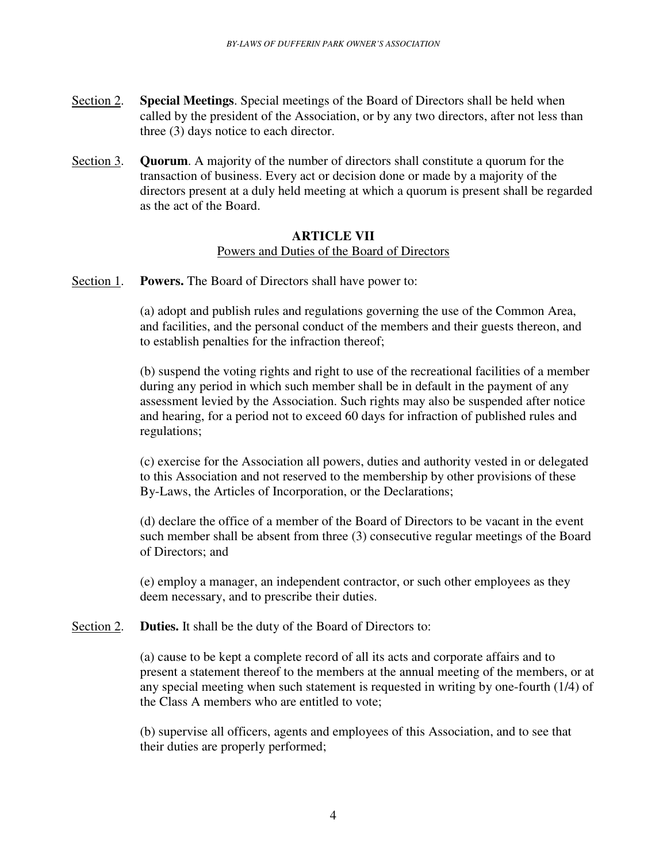- Section 2. **Special Meetings**. Special meetings of the Board of Directors shall be held when called by the president of the Association, or by any two directors, after not less than three (3) days notice to each director.
- Section 3. **Quorum**. A majority of the number of directors shall constitute a quorum for the transaction of business. Every act or decision done or made by a majority of the directors present at a duly held meeting at which a quorum is present shall be regarded as the act of the Board.

#### **ARTICLE VII**  Powers and Duties of the Board of Directors

Section 1. **Powers.** The Board of Directors shall have power to:

(a) adopt and publish rules and regulations governing the use of the Common Area, and facilities, and the personal conduct of the members and their guests thereon, and to establish penalties for the infraction thereof;

(b) suspend the voting rights and right to use of the recreational facilities of a member during any period in which such member shall be in default in the payment of any assessment levied by the Association. Such rights may also be suspended after notice and hearing, for a period not to exceed 60 days for infraction of published rules and regulations;

(c) exercise for the Association all powers, duties and authority vested in or delegated to this Association and not reserved to the membership by other provisions of these By-Laws, the Articles of Incorporation, or the Declarations;

(d) declare the office of a member of the Board of Directors to be vacant in the event such member shall be absent from three (3) consecutive regular meetings of the Board of Directors; and

(e) employ a manager, an independent contractor, or such other employees as they deem necessary, and to prescribe their duties.

Section 2. **Duties.** It shall be the duty of the Board of Directors to:

(a) cause to be kept a complete record of all its acts and corporate affairs and to present a statement thereof to the members at the annual meeting of the members, or at any special meeting when such statement is requested in writing by one-fourth (1/4) of the Class A members who are entitled to vote;

(b) supervise all officers, agents and employees of this Association, and to see that their duties are properly performed;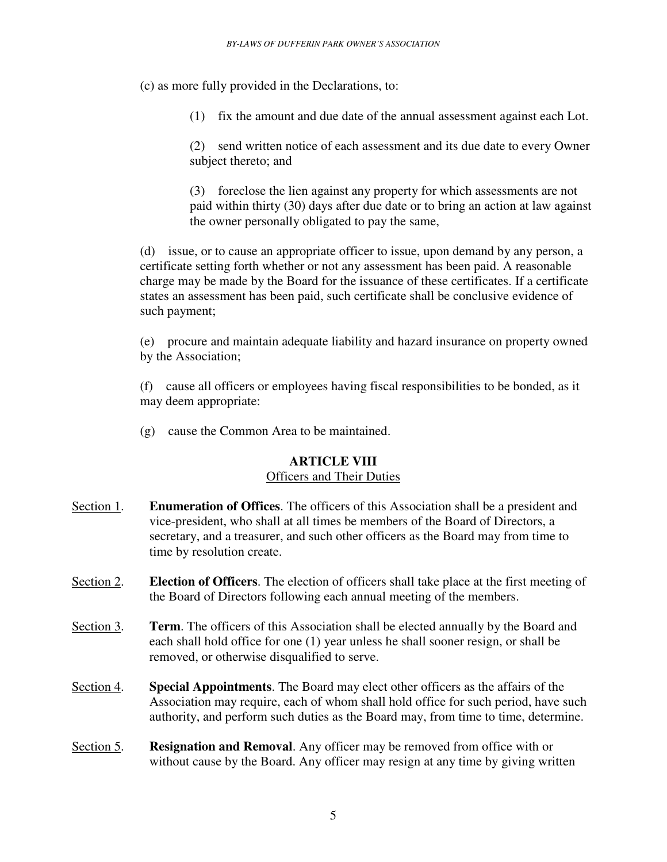(c) as more fully provided in the Declarations, to:

(1) fix the amount and due date of the annual assessment against each Lot.

(2) send written notice of each assessment and its due date to every Owner subject thereto; and

(3) foreclose the lien against any property for which assessments are not paid within thirty (30) days after due date or to bring an action at law against the owner personally obligated to pay the same,

(d) issue, or to cause an appropriate officer to issue, upon demand by any person, a certificate setting forth whether or not any assessment has been paid. A reasonable charge may be made by the Board for the issuance of these certificates. If a certificate states an assessment has been paid, such certificate shall be conclusive evidence of such payment;

(e) procure and maintain adequate liability and hazard insurance on property owned by the Association;

(f) cause all officers or employees having fiscal responsibilities to be bonded, as it may deem appropriate:

(g) cause the Common Area to be maintained.

# **ARTICLE VIII**

# Officers and Their Duties

- Section 1. **Enumeration of Offices**. The officers of this Association shall be a president and vice-president, who shall at all times be members of the Board of Directors, a secretary, and a treasurer, and such other officers as the Board may from time to time by resolution create.
- Section 2. **Election of Officers**. The election of officers shall take place at the first meeting of the Board of Directors following each annual meeting of the members.
- Section 3. **Term**. The officers of this Association shall be elected annually by the Board and each shall hold office for one (1) year unless he shall sooner resign, or shall be removed, or otherwise disqualified to serve.
- Section 4. **Special Appointments**. The Board may elect other officers as the affairs of the Association may require, each of whom shall hold office for such period, have such authority, and perform such duties as the Board may, from time to time, determine.
- Section 5. **Resignation and Removal**. Any officer may be removed from office with or without cause by the Board. Any officer may resign at any time by giving written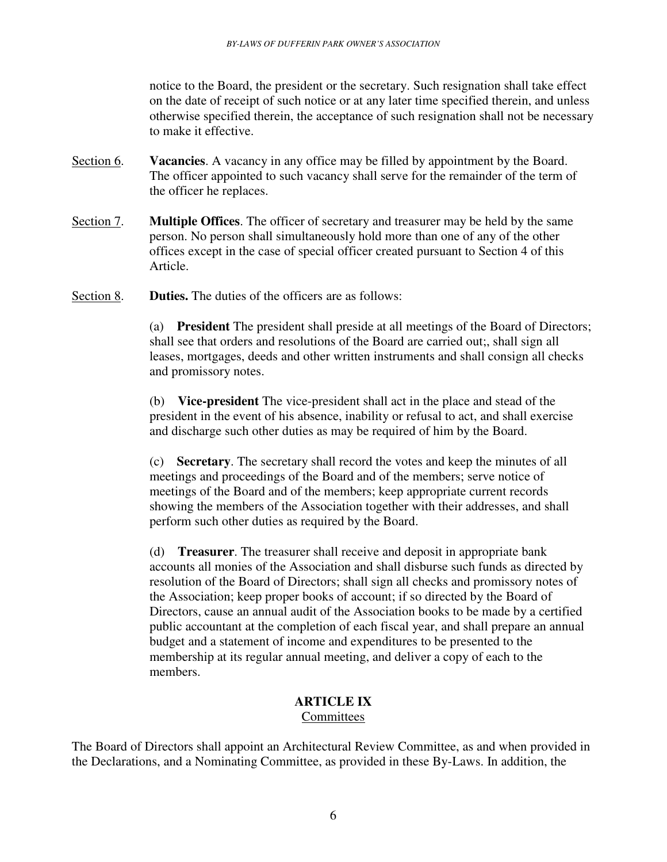notice to the Board, the president or the secretary. Such resignation shall take effect on the date of receipt of such notice or at any later time specified therein, and unless otherwise specified therein, the acceptance of such resignation shall not be necessary to make it effective.

- Section 6. **Vacancies**. A vacancy in any office may be filled by appointment by the Board. The officer appointed to such vacancy shall serve for the remainder of the term of the officer he replaces.
- Section 7. **Multiple Offices**. The officer of secretary and treasurer may be held by the same person. No person shall simultaneously hold more than one of any of the other offices except in the case of special officer created pursuant to Section 4 of this Article.
- Section 8. **Duties.** The duties of the officers are as follows:

(a) **President** The president shall preside at all meetings of the Board of Directors; shall see that orders and resolutions of the Board are carried out;, shall sign all leases, mortgages, deeds and other written instruments and shall consign all checks and promissory notes.

(b) **Vice-president** The vice-president shall act in the place and stead of the president in the event of his absence, inability or refusal to act, and shall exercise and discharge such other duties as may be required of him by the Board.

(c) **Secretary**. The secretary shall record the votes and keep the minutes of all meetings and proceedings of the Board and of the members; serve notice of meetings of the Board and of the members; keep appropriate current records showing the members of the Association together with their addresses, and shall perform such other duties as required by the Board.

(d) **Treasurer**. The treasurer shall receive and deposit in appropriate bank accounts all monies of the Association and shall disburse such funds as directed by resolution of the Board of Directors; shall sign all checks and promissory notes of the Association; keep proper books of account; if so directed by the Board of Directors, cause an annual audit of the Association books to be made by a certified public accountant at the completion of each fiscal year, and shall prepare an annual budget and a statement of income and expenditures to be presented to the membership at its regular annual meeting, and deliver a copy of each to the members.

# **ARTICLE IX**

**Committees** 

The Board of Directors shall appoint an Architectural Review Committee, as and when provided in the Declarations, and a Nominating Committee, as provided in these By-Laws. In addition, the